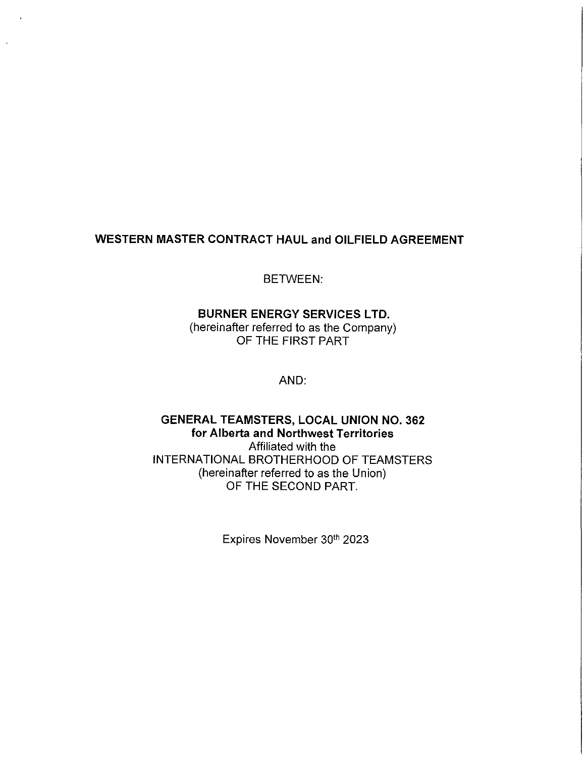## **WESTERN MASTER CONTRACT HAUL and OILFIELD AGREEMENT**

BETWEEN:

# **BURNER ENERGY SERVICES LTD.**

(hereinafter referred to as the Company) OF THE FIRST PART

AND:

## **GENERAL TEAMSTERS, LOCAL UNION NO. 362 for Alberta and Northwest Territories**  Affiliated with the INTERNATIONAL BROTHERHOOD OF TEAMSTERS (hereinafter referred to as the Union) OF THE SECOND PART.

Expires November 30th 2023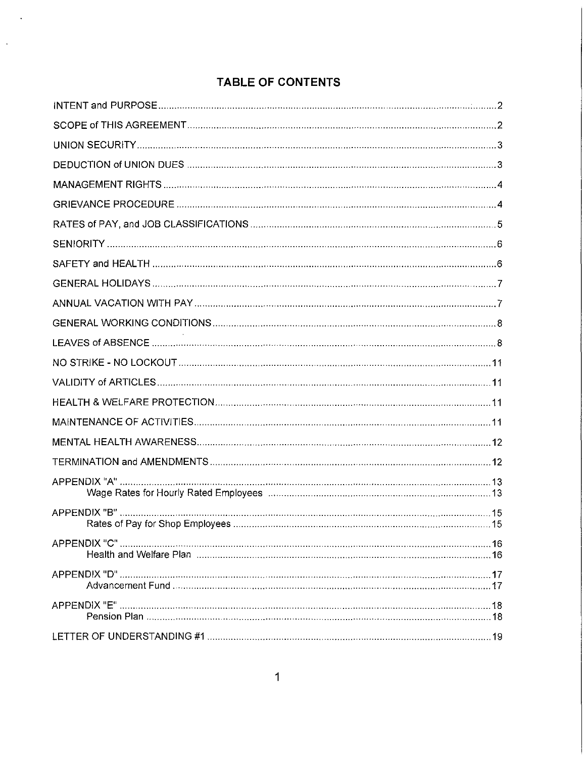# **TABLE OF CONTENTS**

 $\mathcal{A}$ 

 $\bar{\mathcal{A}}$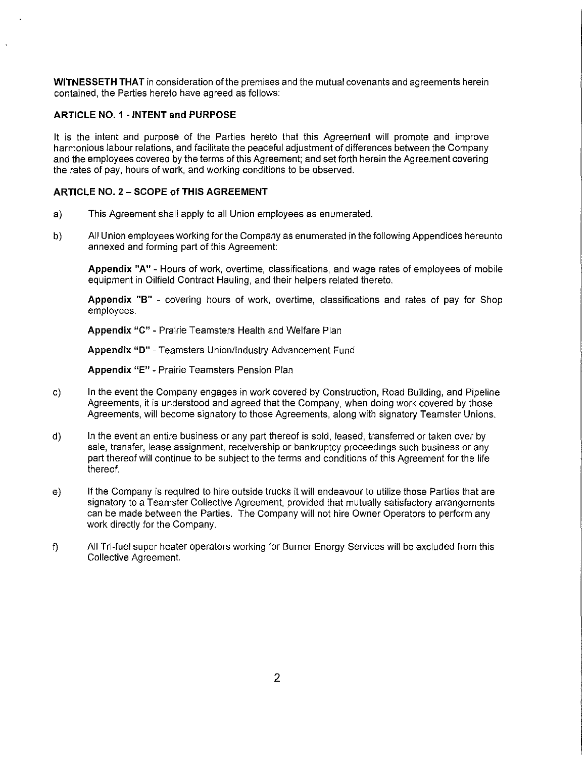**WITNESSETH THAT** in consideration of the premises and the mutual covenants and agreements herein contained, the Parties hereto have agreed as follows:

#### **ARTICLE NO. 1 - INTENT and PURPOSE**

It is the intent and purpose of the Parties hereto that this Agreement will promote and improve harmonious labour relations, and facilitate the peaceful adjustment of differences between the Company and the employees covered by the terms of this Agreement; and set forth herein the Agreement covering the rates of pay, hours of work, and working conditions to be observed.

#### **ARTICLE NO. 2 - SCOPE of THIS AGREEMENT**

- a) This Agreement shall apply to all Union employees as enumerated.
- b) All Union employees working for the Company as enumerated in the following Appendices hereunto annexed and forming part of this Agreement:

**Appendix "A"** - Hours of work, overtime, classifications, and wage rates of employees of mobile equipment in Oilfield Contract Hauling, and their helpers related thereto.

**Appendix "B"** - covering hours of work, overtime, classifications and rates of pay for Shop employees.

**Appendix** "C" - Prairie Teamsters Health and Welfare Plan

**Appendix "D"** - Teamsters Union/Industry Advancement Fund

**Appendix "E"** - Prairie Teamsters Pension Plan

- c) In the event the Company engages in work covered by Construction, Road Building, and Pipeline Agreements, it is understood and agreed that the Company, when doing work covered by those Agreements, will become signatory to those Agreements, along with signatory Teamster Unions.
- d) In the event an entire business or any part thereof is sold, leased, transferred or taken over by sale, transfer, lease assignment, receivership or bankruptcy proceedings such business or any part thereof will continue to be subject to the terms and conditions of this Agreement for the life thereof.
- e) If the Company is required to hire outside trucks it will endeavour to utilize those Parties that are signatory to a Teamster Collective Agreement, provided that mutually satisfactory arrangements can be made between the Parties. The Company will not hire Owner Operators to perform any work directly for the Company.
- f) All Tri-fuel super heater operators working for Burner Energy Services will be excluded from this Collective Agreement.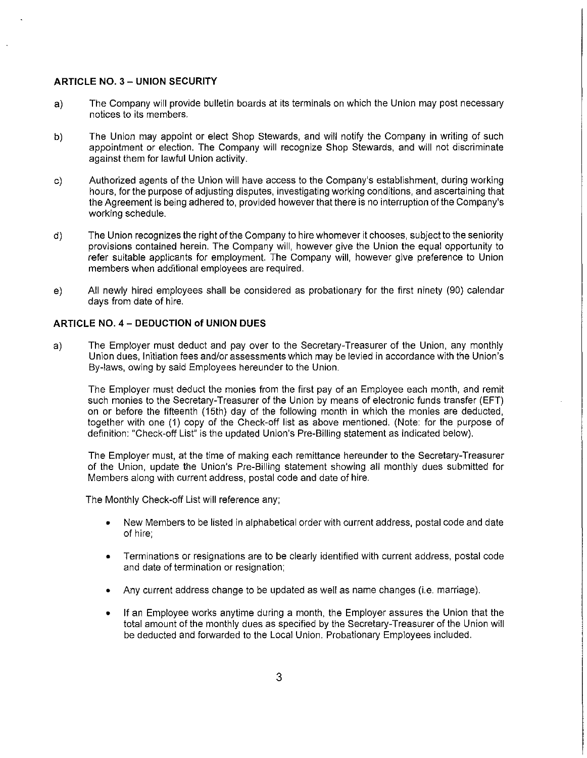#### **ARTICLE NO. 3 - UNION SECURITY**

- a) The Company will provide bulletin boards at its terminals on which the Union may post necessary notices to its members.
- b) The Union may appoint or elect Shop Stewards, and will notify the Company **in** writing of such appointment or election. The Company will recognize Shop Stewards, and will not discriminate against them for lawful Union activity.
- c) Authorized agents of the Union will have access to the Company's establishment, during working hours, for the purpose of adjusting disputes, investigating working conditions, and ascertaining that the Agreement is being adhered to, provided however that there is no interruption of the Company's working schedule.
- d) The Union recognizes the right of the Company to hire whomever it chooses, subject to the seniority provisions contained herein. The Company will, however give the Union the equal opportunity to refer suitable applicants for employment. The Company will, however give preference to Union members when additional employees are required.
- e) All newly hired employees shall be considered as probationary for the first ninety (90) calendar days from date of hire.

#### **ARTICLE NO. 4 - DEDUCTION of UNION DUES**

a) The Employer must deduct and pay over to the Secretary-Treasurer of the Union, any monthly Union dues, Initiation fees and/or assessments which may be levied in accordance with the Union's By-laws, owing by said Employees hereunder to the Union.

The Employer must deduct the monies from the first pay of an Employee each month, and remit such monies to the Secretary-Treasurer of the Union by means of electronic funds transfer **(EFT)**  on or before the fifteenth (15th) day of the following month in which the monies are deducted, together with one (1) copy of the Check-off list as above mentioned. (Note: for the purpose of definition: "Check-off List" is the updated Union's Pre-Billing statement as indicated below).

The Employer must, at the time of making each remittance hereunder to the Secretary-Treasurer of the Union, update the Union's Pre-Billing statement showing all monthly dues submitted for Members along with current address, postal code and date of hire.

The Monthly Check-off List will reference any;

- New Members to be listed in alphabetical order with current address, postal code and date of hire;
- Terminations or resignations are to be clearly identified with current address, postal code and date of termination or resignation;
- Any current address change to be updated as well as name changes (i.e. marriage).
- If an Employee works anytime during a month, the Employer assures the Union that the total amount of the monthly dues as specified by the Secretary-Treasurer of the Union will be deducted and forwarded to the Local Union. Probationary Employees included.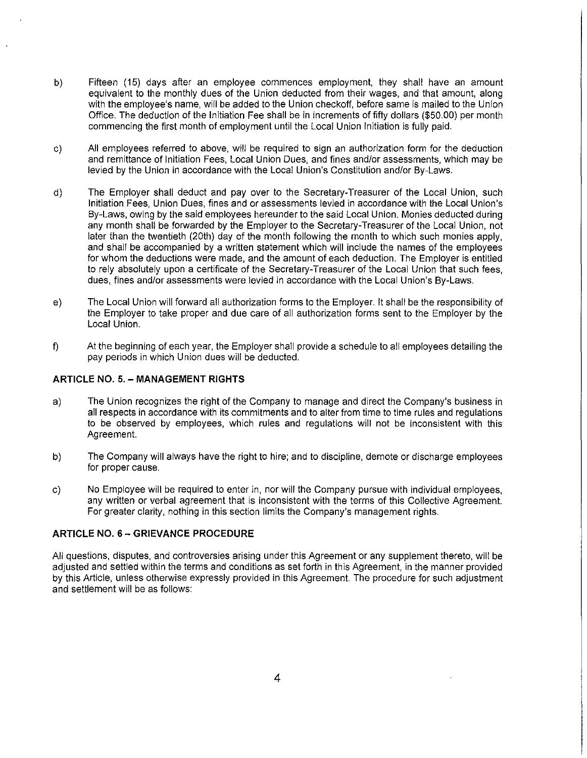- b) Fifteen (15) days after an employee commences employment, they shall have an amount equivalent to the monthly dues of the Union deducted from their wages, and that amount, along with the employee's name, will be added to the Union checkoff, before same is mailed to the Union Office. The deduction of the Initiation Fee shall be in increments of fifty dollars (\$50.00) per month commencing the first month of employment until the Local Union Initiation is fully paid.
- c) All employees referred to above, will be required to sign an authorization form for the deduction and remittance of Initiation Fees, Local Union Dues, and fines and/or assessments, which may be levied by the Union in accordance with the Local Union's Constitution and/or By-Laws.
- d) The Employer shall deduct and pay over to the Secretary-Treasurer of the Local Union, such Initiation Fees, Union Dues, fines and or assessments levied in accordance with the Local Union's By-Laws, owing by the said employees hereunder to the said Local Union. Monies deducted during any month shall be forwarded by the Employer to the Secretary-Treasurer of the Local Union, not later than the twentieth (20th) day of the month following the month to which such monies apply, and shall be accompanied by a written statement which will include the names of the employees for whom the deductions were made, and the amount of each deduction. The Employer is entitled to rely absolutely upon a certificate of the Secretary-Treasurer of the Local Union that such fees, dues, fines and/or assessments were levied in accordance with the Local Union's By-Laws.
- e) The Local Union will forward all authorization forms to the Employer. It shall be the responsibility of the Employer to take proper and due care of all authorization forms sent to the Employer by the Local Union.
- f) At the beginning of each year, the Employer shall provide a schedule to all employees detailing the pay periods in which Union dues will be deducted.

#### **ARTICLE** NO. 5. - **MANAGEMENT RIGHTS**

- a) The Union recognizes the right of the Company to manage and direct the Company's business in all respects in accordance with its commitments and to alter from time to time rules and regulations to be observed by employees, which rules and regulations will not be inconsistent with this Agreement.
- b) The Company will always have the right to hire; and to discipline, demote or discharge employees for proper cause.
- c) No Employee will be required to enter in, nor will the Company pursue with individual employees, any written or verbal agreement that is inconsistent with the terms of this Collective Agreement. For greater clarity, nothing in this section limits the Company's management rights.

#### **ARTICLE NO.** 6 - **GRIEVANCE PROCEDURE**

All questions, disputes, and controversies arising under this Agreement or any supplement thereto, will be adjusted and settled within the terms and conditions as set forth in this Agreement, in the manner provided by this Article, unless otherwise expressly provided in this Agreement. The procedure for such adjustment and settlement will be as follows: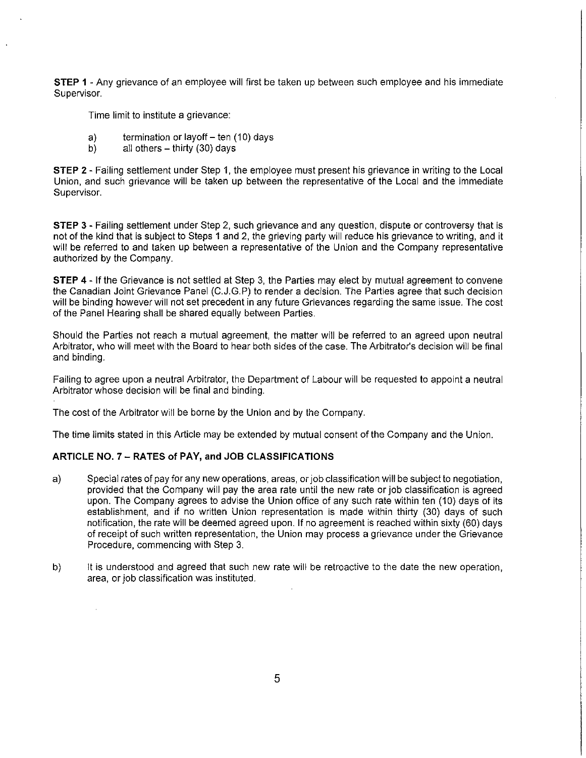**STEP 1** - Any grievance of an employee will first be taken up between such employee and his immediate Supervisor.

Time limit to institute a grievance:

- a) termination or layoff  $-$  ten (10) days<br>b) all others  $-$  thirty (30) days
- all others  $-$  thirty (30) days

**STEP** 2 - Failing settlement under Step 1, the employee must present his grievance in writing to the Local Union, and such grievance will be taken up between the representative of the Local and the immediate Supervisor.

**STEP 3** - Failing settlement under Step 2, such grievance and any question, dispute or controversy that is not of the kind that is subject to Steps 1 and 2, the grieving party will reduce his grievance to writing, and it will be referred to and taken up between a representative of the Union and the Company representative authorized by the Company.

**STEP 4** - If the Grievance is not settled at Step 3, the Parties may elect by mutual agreement to convene the Canadian Joint Grievance Panel (C.J.G.P) to render a decision. The Parties agree that such decision will be binding however will not set precedent in any future Grievances regarding the same issue. The cost of the Panel Hearing shall be shared equally between Parties.

Should the Parties not reach a mutual agreement, the matter will be referred to an agreed upon neutral Arbitrator, who will meet with the Board to hear both sides of the case. The Arbitrator's decision will be final and binding.

Failing to agree upon a neutral Arbitrator, the Department of Labour will be requested to appoint a neutral Arbitrator whose decision will be final and binding.

The cost of the Arbitrator will be borne by the Union and by the Company.

The time limits stated in this Article may be extended by mutual consent of the Company and the Union.

#### **ARTICLE NO. 7- RATES of PAY, and JOB CLASSIFICATIONS**

- a) Special rates of pay for any new operations, areas, or job classification will be subject to negotiation, provided that the Company will pay the area rate until the new rate or job classification is agreed upon. The Company agrees to advise the Union office of any such rate within ten (10) days of its establishment, and if no written Union representation is made within thirty (30) days of such notification, the rate will be deemed agreed upon. If no agreement is reached within sixty (60) days of receipt of such written representation, the Union may process a grievance under the Grievance Procedure, commencing with Step 3.
- b) It is understood and agreed that such new rate will be retroactive to the date the new operation, area, or job classification was instituted.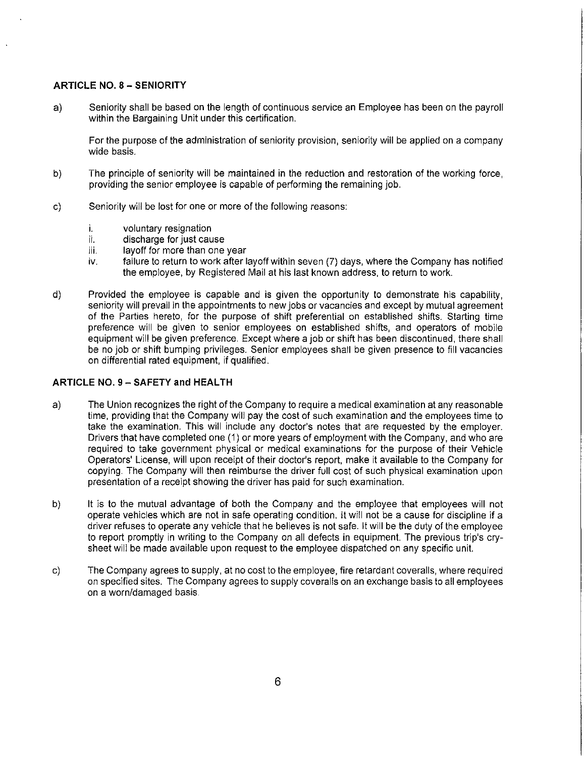#### **ARTICLE NO.** 8 - **SENIORITY**

a) Seniority shall be based on the length of continuous service an Employee has been on the payroll within the Bargaining Unit under this certification.

For the purpose of the administration of seniority provision, seniority will be applied on a company wide basis.

- b) The principle of seniority will be maintained in the reduction and restoration of the working force, providing the senior employee is capable of performing the remaining job.
- c) Seniority will be lost for one or more of the following reasons:
	- i. voluntary resignation<br>ii. discharge for just cau
	- discharge for just cause
	- iii. layoff for more than one year<br>iv. failure to return to work after I
	- failure to return to work after layoff within seven (7) days, where the Company has notified the employee, by Registered Mail at his last known address, to return to work.
- d) Provided the employee is capable and is given the opportunity to demonstrate his capability, seniority will prevail in the appointments to new jobs or vacancies and except by mutual agreement of the Parties hereto, for the purpose of shift preferential on established shifts. Starting time preference will be given to senior employees on established shifts, and operators of mobile equipment will be given preference. Except where a job or shift has been discontinued, there shall be no job or shift bumping privileges. Senior employees shall be given presence to fill vacancies on differential rated equipment, if qualified.

#### **ARTICLE NO. 9 - SAFETY and HEALTH**

- a) The Union recognizes the right of the Company to require a medical examination at any reasonable time, providing that the Company will pay the cost of such examination and the employees time to take the examination. This will include any doctor's notes that are requested by the employer. Drivers that have completed one (1) or more years of employment with the Company, and who are required to take government physical or medical examinations for the purpose of their Vehicle Operators' License, will upon receipt of their doctor's report, make it available to the Company for copying. The Company will then reimburse the driver full cost of such physical examination upon presentation of a receipt showing the driver has paid for such examination.
- b) It is to the mutual advantage of both the Company and the employee that employees will not operate vehicles which are not in safe operating condition. It will not be a cause for discipline if a driver refuses to operate any vehicle that he believes is not safe. It will be the duty of the employee to report promptly in writing to the Company on all defects in equipment. The previous trip's crysheet will be made available upon request to the employee dispatched on any specific unit.
- c) The Company agrees to supply, at no cost to the employee, fire retardant coveralls, where required on specified sites. The Company agrees to supply coveralls on an exchange basis to all employees on a worn/damaged basis.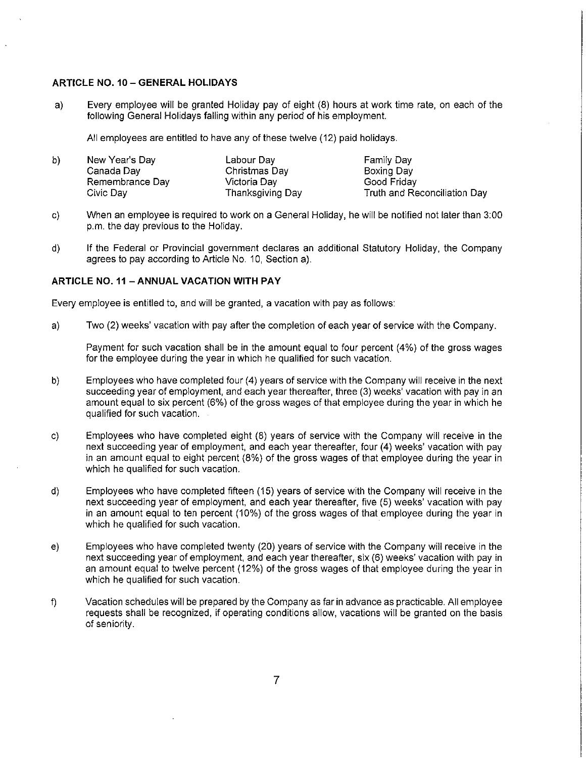#### **ARTICLE NO. 10-GENERAL HOLIDAYS**

a) Every employee will be granted Holiday pay of eight (8) hours at work time rate, on each of the following General Holidays falling within any period of his employment.

All employees are entitled to have any of these twelve (12) paid holidays.

| b) | New Year's Day  | Labour Day       | Family Day                   |
|----|-----------------|------------------|------------------------------|
|    | Canada Day      | Christmas Day    | Boxing Day                   |
|    | Remembrance Day | Victoria Dav     | Good Friday                  |
|    | Civic Dav       | Thanksgiving Day | Truth and Reconciliation Day |

- c) When an employee is required to work on a General Holiday, he will be notified not later than 3:00 p.m. the day previous to the Holiday.
- d) If the Federal or Provincial government declares an additional Statutory Holiday, the Company agrees to pay according to Article No. 10, Section a).

#### **ARTICLE NO. 11 -ANNUAL VACATION WITH PAY**

Every employee is entitled to, and will be granted, a vacation with pay as follows:

a) Two (2) weeks' vacation with pay after the completion of each year of service with the Company.

Payment for such vacation shall be in the amount equal to four percent (4%) of the gross wages for the employee during the year in which he qualified for such vacation.

- b) Employees who have completed four (4) years of service with the Company will receive in the next succeeding year of employment, and each year thereafter, three (3) weeks' vacation with pay in an amount equal to six percent (6%) of the gross wages of that employee during the year in which he qualified for such vacation.
- c) Employees who have completed eight (8) years of service with the Company will receive in the next succeeding year of employment, and each year thereafter, four (4) weeks' vacation with pay in an amount equal to eight percent (8%) of the gross wages of that employee during the year in which he qualified for such vacation.
- d) Employees who have completed fifteen (15) years of service with the Company will receive in the next succeeding year of employment, and each year thereafter, five (5) weeks' vacation with pay in an amount equal to ten percent (10%) of the gross wages of that employee during the year in which he qualified for such vacation.
- e) Employees who have completed twenty (20) years of service with the Company will receive in the next succeeding year of employment, and each year thereafter, six (6) weeks' vacation with pay in an amount equal to twelve percent (12%) of the gross wages of that employee during the year in which he qualified for such vacation.
- f) Vacation schedules will be prepared by the Company as far in advance as practicable. All employee requests shall be recognized, if operating conditions allow, vacations will be granted on the basis of seniority.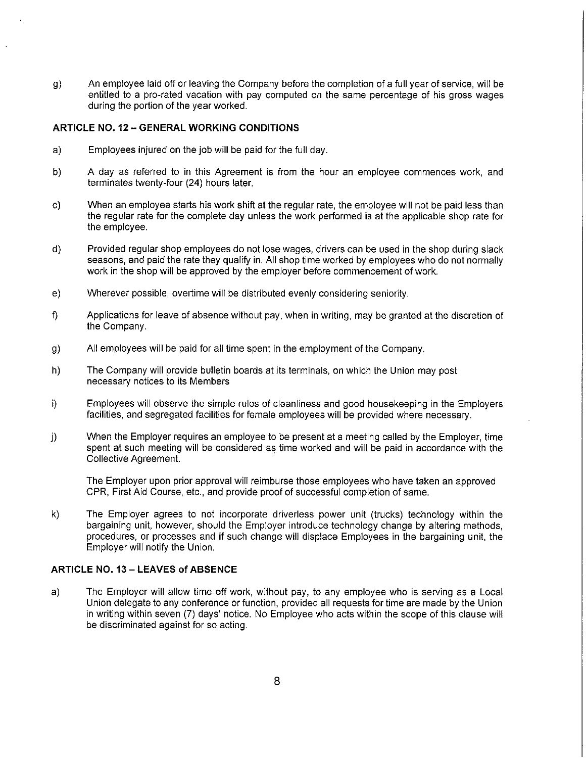g) An employee laid off or leaving the Company before the completion of a full year of service, will be entitled to a pro-rated vacation with pay computed on the same percentage of his gross wages during the portion of the year worked.

#### **ARTICLE NO.** 12 - **GENERAL WORKING CONDITIONS**

- a) Employees injured on the job will be paid for the full day.
- b) A day as referred to in this Agreement is from the hour an employee commences work, and terminates twenty-four (24) hours later.
- c) When an employee starts his work shift at the regular rate, the employee will not be paid less than the regular rate for the complete day unless the work performed is at the applicable shop rate for the employee.
- d) Provided regular shop employees do not lose wages, drivers can be used in the shop during slack seasons, and paid the rate they qualify in. All shop time worked by employees who do not normally work in the shop will be approved by the employer before commencement of work.
- e) Wherever possible, overtime will be distributed evenly considering seniority.
- f) Applications for leave of absence without pay, when in writing, may be granted at the discretion of the Company.
- g) All employees will be paid for all time spent in the employment of the Company.
- h) The Company will provide bulletin boards at its terminals, on which the Union may post necessary notices to its Members
- i) Employees will observe the simple rules of cleanliness and good housekeeping in the Employers facilities, and segregated facilities for female employees will be provided where necessary.
- j) When the Employer requires an employee to be present at a meeting called by the Employer, time spent at such meeting will be considered as time worked and will be paid in accordance with the Collective Agreement.

The Employer upon prior approval will reimburse those employees who have taken an approved CPR, First Aid Course, etc., and provide proof of successful completion of same.

k) The Employer agrees to not incorporate driverless power unit (trucks) technology within the bargaining unit, however, should the Employer introduce technology change by altering methods, procedures, or processes and if such change will displace Employees in the bargaining unit, the Employer will notify the Union.

### **ARTICLE NO.** 13 - **LEAVES of ABSENCE**

a) The Employer will allow time off work, without pay, to any employee who is serving as a Local Union delegate to any conference or function, provided all requests for time are made by the Union in writing within seven (7) days' notice. No Employee who acts within the scope of this clause will be discriminated against for so acting.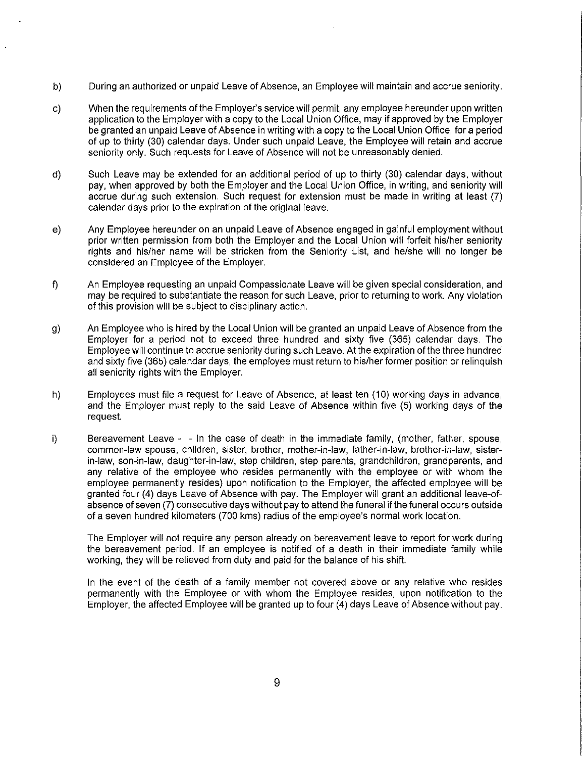- b) During an authorized or unpaid Leave of Absence, an Employee will maintain and accrue seniority.
- c) When the requirements of the Employer's service will permit, any employee hereunder upon written application to the Employer with a copy to the Local Union Office, may if approved by the Employer be granted an unpaid Leave of Absence in writing with a copy to the Local Union Office, for a period of up to thirty (30) calendar days. Under such unpaid Leave, the Employee will retain and accrue seniority only. Such requests for Leave of Absence will not be unreasonably denied.
- d) Such Leave may be extended for an additional period of up to thirty (30) calendar days, without pay, when approved by both the Employer and the Local Union Office, in writing, and seniority will accrue during such extension. Such request for extension must be made in writing at least (7) calendar days prior to the expiration of the original leave.
- e) Any Employee hereunder on an unpaid Leave of Absence engaged in gainful employment without prior written permission from both the Employer and the Local Union will forfeit his/her seniority rights and his/her name will be stricken from the Seniority List, and he/she will no longer be considered an Employee of the Employer.
- f) An Employee requesting an unpaid Compassionate Leave will be given special consideration, and may be required to substantiate the reason for such Leave, prior to returning to work. Any violation of this provision will be subject to disciplinary action.
- g) An Employee who is hired by the Local Union will be granted an unpaid Leave of Absence from the Employer for a period not to exceed three hundred and sixty five (365) calendar days. The Employee will continue to accrue seniority during such Leave. At the expiration of the three hundred and sixty five (365) calendar days, the employee must return to his/her former position or relinquish all seniority rights with the Employer.
- h) Employees must file a request for Leave of Absence, at least ten (10) working days in advance, and the Employer must reply to the said Leave of Absence within five (5) working days of the request.
- i) Bereavement Leave - In the case of death in the immediate family, (mother, father, spouse, common-law spouse, children, sister, brother, mother-in-law, father-in-law, brother-in-law, sisterin-law, son-in-law, daughter-in-law, step children, step parents, grandchildren, grandparents, and any relative of the employee who resides permanently with the employee or with whom the employee permanently resides) upon notification to the Employer, the affected employee will be granted four (4) days Leave of Absence with pay. The Employer will grant an additional leave-ofabsence of seven (7) consecutive days without pay to attend the funeral if the funeral occurs outside of a seven hundred kilometers (700 kms) radius of the employee's normal work location.

The Employer will not require any person already on bereavement leave to report for work during the bereavement period. If an employee is notified of a death in their immediate family while working, they will be relieved from duty and paid for the balance of his shift.

In the event of the death of a family member not covered above or any relative who resides permanently with the Employee or with whom the Employee resides, upon notification to the Employer, the affected Employee will be granted up to four (4) days Leave of Absence without pay.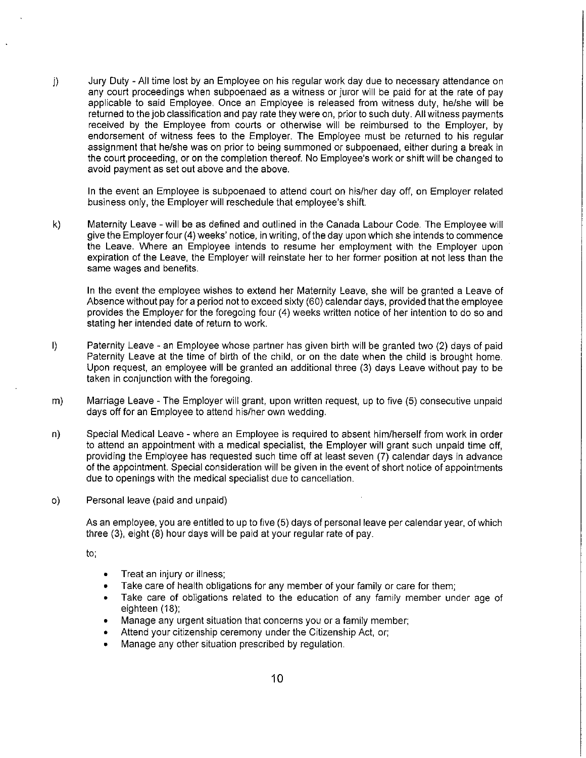j) Jury Duty - All time lost by an Employee on his regular work day due to necessary attendance on any court proceedings when subpoenaed as a witness or juror will be paid for at the rate of pay applicable to said Employee. Once an Employee is released from witness duty, he/she will be returned to the job classification and pay rate they were on, prior to such duty. All witness payments received by the Employee from courts or otherwise will be reimbursed to the Employer, by endorsement of witness fees to the Employer. The Employee must be returned to his regular assignment that he/she was on prior to being summoned or subpoenaed, either during a break in the court proceeding, or on the completion thereof. No Employee's work or shift will be changed to avoid payment as set out above and the above.

In the event an Employee is subpoenaed to attend court on his/her day off, on Employer related business only, the Employer will reschedule that employee's shift.

k) Maternity Leave - will be as defined and outlined in the Canada Labour Code. The Employee will give the Employer four (4) weeks' notice, in writing, of the day upon which she intends to commence the Leave. Where an Employee intends to resume her employment with the Employer upon expiration of the Leave, the Employer will reinstate her to her former position at not less than the same wages and benefits.

In the event the employee wishes to extend her Maternity Leave, she will be granted a Leave of Absence without pay for a period not to exceed sixty (60) calendar days, provided that the employee provides the Employer for the foregoing four (4) weeks written notice of her intention to do so and stating her intended date of return to work.

- I) Paternity Leave an Employee whose partner has given birth will be granted two (2) days of paid Paternity Leave at the time of birth of the child, or on the date when the child is brought home. Upon request, an employee will be granted an additional three (3) days Leave without pay to be taken in conjunction with the foregoing.
- m) Marriage Leave The Employer will grant, upon written request, up to five (5) consecutive unpaid days off for an Employee to attend his/her own wedding.
- n) Special Medical Leave where an Employee is required to absent him/herself from work in order to attend an appointment with a medical specialist, the Employer will grant such unpaid time off, providing the Employee has requested such time off at least seven (7) calendar days in advance of the appointment. Special consideration will be given in the event of short notice of appointments due to openings with the medical specialist due to cancellation.
- o) Personal leave (paid and unpaid)

As an employee, you are entitled to up to five (5) days of personal leave per calendar year, of which three (3), eight (8) hour days will be paid at your regular rate of pay.

to;

- Treat an injury or illness;
- Take care of health obligations for any member of your family or care for them;
- Take care of obligations related to the education of any family member under age of eighteen (18);
- Manage any urgent situation that concerns you or a family member;
- Attend your citizenship ceremony under the Citizenship Act, or;
- Manage any other situation prescribed by regulation.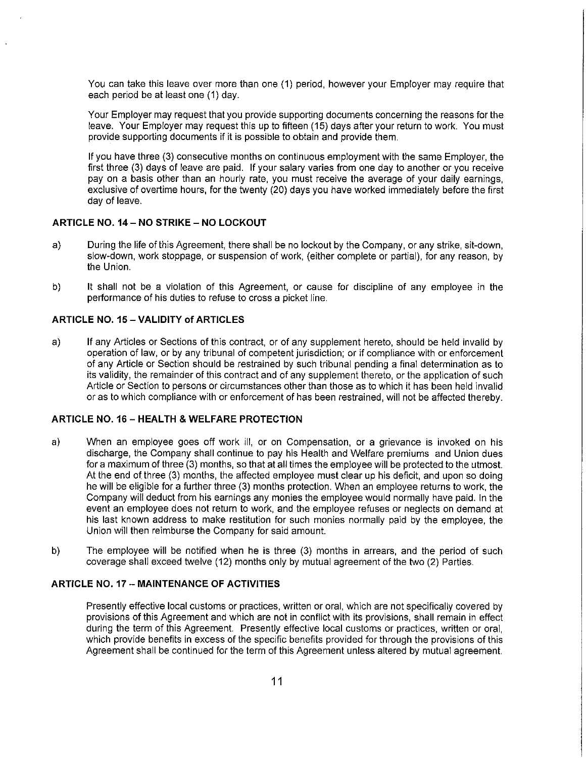You can take this leave over more than one (1) period, however your Employer may require that each period be at least one (1) day.

Your Employer may request that you provide supporting documents concerning the reasons for the leave. Your Employer may request this up to fifteen (15) days after your return to work. You must provide supporting documents if it is possible to obtain and provide them.

If you have three (3) consecutive months on continuous employment with the same Employer, the first three (3) days of leave are paid. If your salary varies from one day to another or you receive pay on a basis other than an hourly rate, you must receive the average of your daily earnings, exclusive of overtime hours, for the twenty (20) days you have worked immediately before the first day of leave.

### **ARTICLE NO. 14 - NO STRIKE - NO LOCKOUT**

- a) During the life of this Agreement, there shall be no lockout by the Company, or any strike, sit-down, slow-down, work stoppage, or suspension of work, (either complete or partial), for any reason, by the Union.
- b) It shall not be a violation of this Agreement, or cause for discipline of any employee in the performance of his duties to refuse to cross a picket line.

#### **ARTICLE NO. 15 - VALIDITY of ARTICLES**

a) If any Articles or Sections of this contract, or of any supplement hereto, should be held invalid by operation of law, or by any tribunal of competent jurisdiction; or if compliance with or enforcement of any Article or Section should be restrained by such tribunal pending a final determination as to its validity, the remainder of this contract and of any supplement thereto, or the application of such Article or Section to persons or circumstances other than those as to which it has been held invalid or as to which compliance with or enforcement of has been restrained, will not be affected thereby.

#### **ARTICLE NO.** 16 - **HEAL TH & WELFARE PROTECTION**

- a) When an employee goes off work ill, or on Compensation, or a grievance is invoked on his discharge, the Company shall continue to pay his Health and Welfare premiums and Union dues for a maximum of three (3) months, so that at all times the employee will be protected to the utmost. At the end of three (3) months, the affected employee must clear up his deficit, and upon so doing he will be eligible for a further three (3) months protection. When an employee returns to work, the Company will deduct from his earnings any monies the employee would normally have paid. In the event an employee does not return to work, and the employee refuses or neglects on demand at his last known address to make restitution for such monies normally paid by the employee, the Union will then reimburse the Company for said amount.
- b) The employee will be notified when he is three (3) months in arrears, and the period of such coverage shall exceed twelve (12) months only by mutual agreement of the two (2) Parties.

#### **ARTICLE NO. 17 - MAINTENANCE OF ACTIVITIES**

Presently effective local customs or practices, written or oral, which are not specifically covered by provisions of this Agreement and which are not in conflict with its provisions, shall remain in effect during the term of this Agreement. Presently effective local customs or practices, written or oral, which provide benefits in excess of the specific benefits provided for through the provisions of this Agreement shall be continued for the term of this Agreement unless altered by mutual agreement.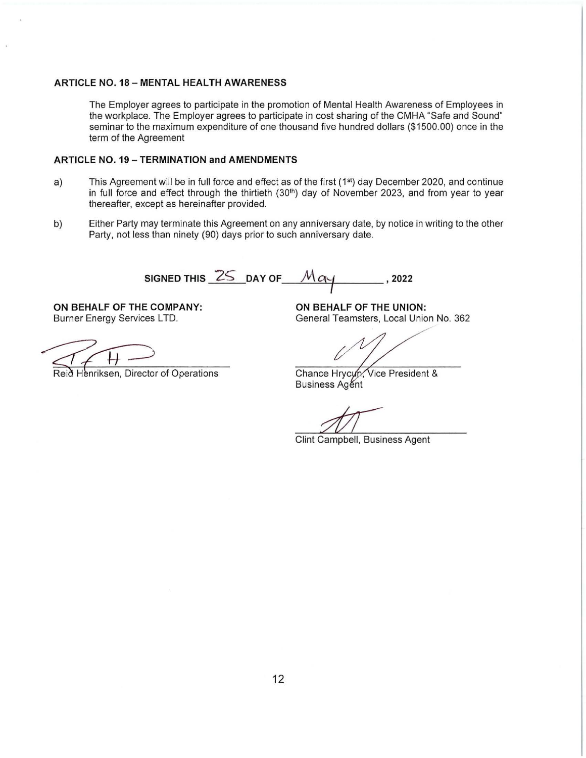#### **ARTICLE NO.** 18 - **MENTAL HEALTH AWARENESS**

The Employer agrees to participate in the promotion of Mental Health Awareness of Employees in the workplace. The Employer agrees to participate in cost sharing of the CMHA "Safe and Sound" seminar to the maximum expenditure of one thousand five hundred dollars (\$1500.00) once in the term of the Agreement

#### **ARTICLE NO. 19-TERMINATION and AMENDMENTS**

- a) This Agreement will be in full force and effect as of the first (1<sup>st</sup>) day December 2020, and continue in full force and effect through the thirtieth (30th) day of November 2023, and from year to year thereafter, except as hereinafter provided.
- b) Either Party may terminate this Agreement on any anniversary date, by notice in writing to the other Party, not less than ninety (90) days prior to such anniversary date.

**SIGNED THIS 25 DAY OF**  $\mathcal{M}$  $\alpha$  $\gamma$  **, 2022** 

**ON BEHALF OF THE COMPANY: ON BEHALF OF THE UNION:** 

Reid Henriksen, Director of Operations

Burner Energy Services LTD. The Services of Ceneral Teamsters, Local Union No. 362

Chance Hrycun, Vice President & **Business Agent** 

Clint Campbell, Business Agent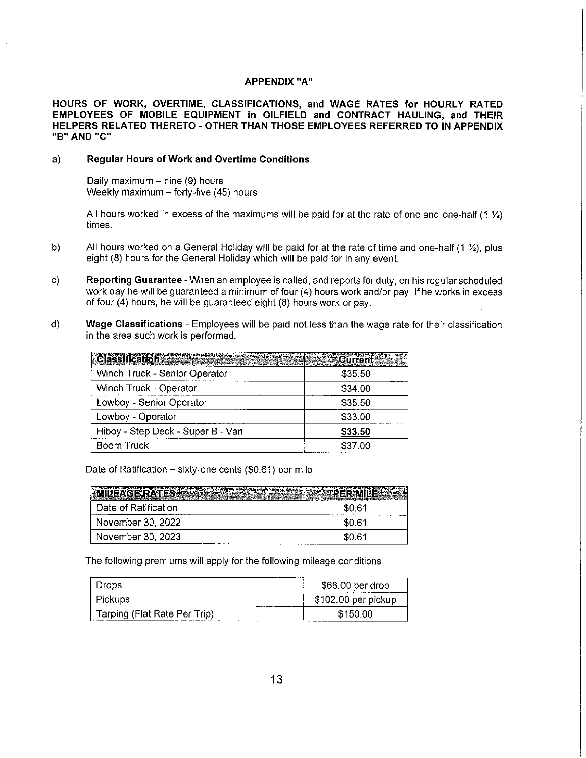#### **APPENDIX "A"**

**HOURS OF WORK, OVERTIME, CLASSIFICATIONS, and WAGE RATES for HOURLY RATED EMPLOYEES OF MOBILE EQUIPMENT in OILFIELD and CONTRACT HAULING, and THEIR HELPERS RELATED THERETO - OTHER THAN THOSE EMPLOYEES REFERRED TO IN APPENDIX "B" AND "C"** 

#### a) **Regular Hours of Work and Overtime Conditions**

Daily maximum  $-$  nine (9) hours Weekly maximum - forty-five (45) hours

All hours worked in excess of the maximums will be paid for at the rate of one and one-half  $(1 \frac{1}{2})$ times.

- b) All hours worked on a General Holiday will be paid for at the rate of time and one-half  $(1 \frac{1}{2})$ , plus eight (8) hours for the General Holiday which will be paid for in any event.
- c) **Reporting Guarantee**  When an employee is called, and reports for duty, on his regular scheduled work day he will be guaranteed a minimum of four (4) hours work and/or pay. If he works in excess of four (4) hours, he will be guaranteed eight (8) hours work or pay.
- d) **Wage Classifications**  Employees will be paid not less than the wage rate for their classification in the area such work is performed.

| $\mathbf n$ the area such work is periorined.<br><b>Classification</b> | <b>Current</b> |
|------------------------------------------------------------------------|----------------|
| Winch Truck - Senior Operator                                          | \$35.50        |
| Winch Truck - Operator                                                 | \$34.00        |
| Lowboy - Senior Operator                                               | \$35.50        |
| Lowboy - Operator                                                      | \$33.00        |
| Hiboy - Step Deck - Super B - Van                                      | \$33.50        |
| <b>Boom Truck</b>                                                      | \$37.00        |

Date of Ratification  $-$  sixty-one cents (\$0.61) per mile

| Date of Ratification | \$0.61 |
|----------------------|--------|
| November 30, 2022    | \$0.61 |
| November 30, 2023    | \$0.61 |

The following premiums will apply for the following mileage conditions

| Drops                        | \$68.00 per drop    |
|------------------------------|---------------------|
| <b>Pickups</b>               | \$102.00 per pickup |
| Tarping (Flat Rate Per Trip) | \$150.00            |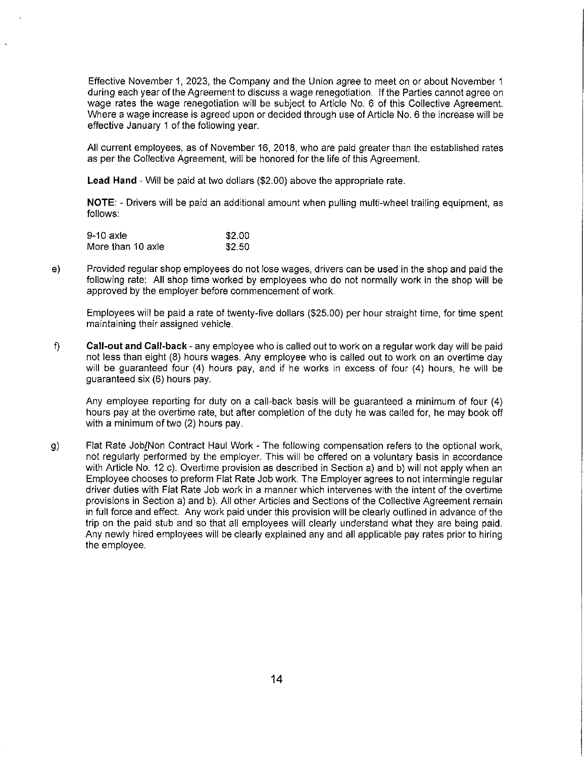Effective November 1, 2023, the Company and the Union agree to meet on or about November 1 during each year of the Agreement to discuss a wage renegotiation. If the Parties cannot agree on wage rates the wage renegotiation will be subject to Article No. 6 of this Collective Agreement. Where a wage increase is agreed upon or decided through use of Article No. 6 the increase will be effective January 1 of the following year.

All current employees, as of November 16, 2018, who are paid greater than the established rates as per the Collective Agreement, will be honored for the life of this Agreement.

**Lead Hand** - Will be paid at two dollars (\$2.00) above the appropriate rate.

**NOTE:** - Drivers will be paid an additional amount when pulling multi-wheel trailing equipment, as follows:

| 9-10 axle         | \$2.00 |
|-------------------|--------|
| More than 10 axle | \$2.50 |

e) Provided regular shop employees do not lose wages, drivers can be used in the shop and paid the following rate: All shop time worked by employees who do not normally work in the shop will be approved by the employer before commencement of work.

Employees will be paid a rate of twenty-five dollars (\$25.00) per hour straight time, for time spent maintaining their assigned vehicle.

f) **Call-out and Call-back** - any employee who is called out to work on a regular work day will be paid not less than eight (8) hours wages. Any employee who is called out to work on an overtime day will be guaranteed four (4) hours pay, and if he works in excess of four (4) hours, he will be guaranteed six (6) hours pay.

Any employee reporting for duty on a call-back basis will be guaranteed a minimum of four (4) hours pay at the overtime rate, but after completion of the duty he was called for, he may book off with a minimum of two (2) hours pay.

g) Flat Rate Job/Non Contract Haul Work - The following compensation refers to the optional work, not regularly performed by the employer. This will be offered on a voluntary basis in accordance with Article No. 12 c). Overtime provision as described in Section a) and b) will not apply when an Employee chooses to preform Flat Rate Job work. The Employer agrees to not intermingle regular driver duties with Flat Rate Job work in a manner which intervenes with the intent of the overtime provisions in Section a) and b). All other Articles and Sections of the Collective Agreement remain in full force and effect. Any work paid under this provision will be clearly outlined in advance of the trip on the paid stub and so that all employees will clearly understand what they are being paid. Any newly hired employees will be clearly explained any and all applicable pay rates prior to hiring the employee.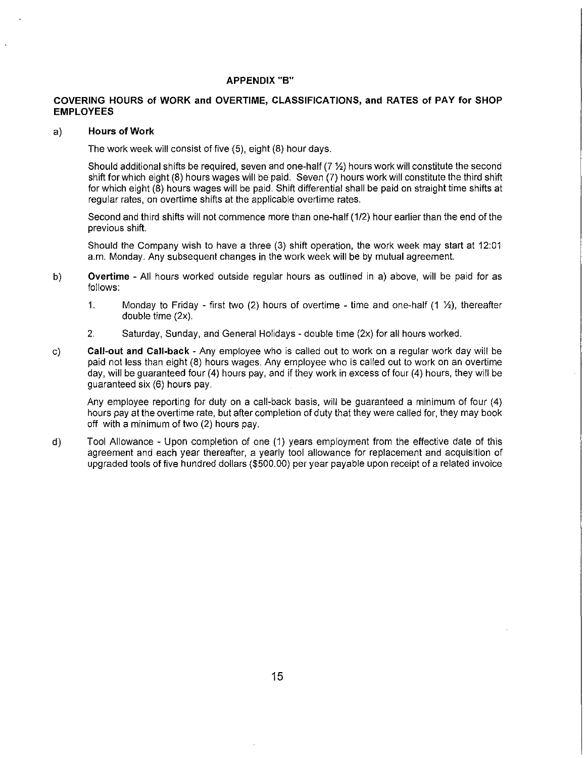#### **APPENDIX "B"**

#### **COVERING HOURS of WORK and OVERTIME, CLASSIFICATIONS, and RATES of PAY for SHOP EMPLOYEES**

#### a) **Hours of Work**

The work week will consist of five (5), eight (8) hour days.

Should additional shifts be required, seven and one-half (7 %) hours work will constitute the second shift for which eight (8) hours wages will be paid. Seven (7) hours work will constitute the third shift for which eight (8) hours wages will be paid. Shift differential shall be paid on straight time shifts at regular rates, on overtime shifts at the applicable overtime rates.

Second and third shifts will not commence more than one-half (1/2) hour earlier than the end of the previous shift.

Should the Company wish to have a three (3) shift operation, the work week may start at 12:01 a.m. Monday. Any subsequent changes in the work week will be by mutual agreement.

- b) **Overtime**  All hours worked outside regular hours as outlined in a) above, will be paid for as follows:
	- 1. Monday to Friday first two (2) hours of overtime time and one-half  $(1 \frac{1}{2})$ , thereafter double time (2x).
	- 2. Saturday, Sunday, and General Holidays double time (2x) for all hours worked.
- c) **Call-out and Call-back**  Any employee who is called out to work on a regular work day will be paid not less than eight (8) hours wages. Any employee who is called out to work on an overtime day, will be guaranteed four (4) hours pay, and if they work in excess of four (4) hours, they will be guaranteed six (6) hours pay.

Any employee reporting for duty on a call-back basis, will be guaranteed a minimum of four (4) hours pay at the overtime rate, but after completion of duty that they were called for, they may book off with a minimum of two (2) hours pay.

d) Tool Allowance - Upon completion of one (1) years employment from the effective date of this agreement and each year thereafter, a yearly tool allowance for replacement and acquisition of upgraded tools of five hundred dollars (\$500.00) per year payable upon receipt of a related invoice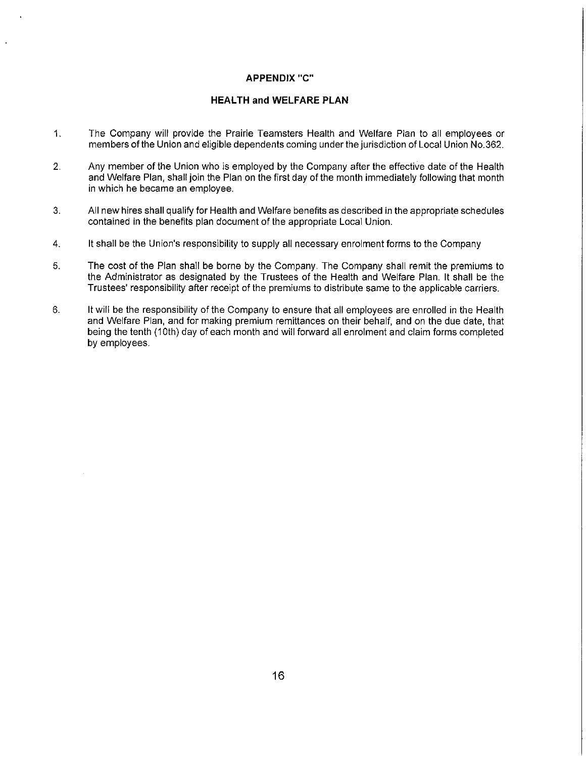#### **APPENDIX** "C"

#### **HEALTH and WELFARE PLAN**

- 1. The Company will provide the Prairie Teamsters Health and Welfare Plan to all employees or members of the Union and eligible dependents coming under the jurisdiction of Local Union No.362.
- 2. Any member of the Union who is employed by the Company after the effective date of the Health and Welfare Plan, shall join the Plan on the first day of the month immediately following that month in which he became an employee.
- 3. All new hires shall qualify for Health and Welfare benefits as described in the appropriate schedules contained in the benefits plan document of the appropriate Local Union.
- 4. It shall be the Union's responsibility to supply all necessary enrolment forms to the Company
- 5. The cost of the Plan shall be borne by the Company. The Company shall remit the premiums to the Administrator as designated by the Trustees of the Health and Welfare Plan. It shall be the Trustees' responsibility after receipt of the premiums to distribute same to the applicable carriers.
- 6. It will be the responsibility of the Company to ensure that all employees are enrolled in the Health and Welfare Plan, and for making premium remittances on their behalf, and on the due date, that being the tenth (10th) day of each month and will forward all enrolment and claim forms completed by employees.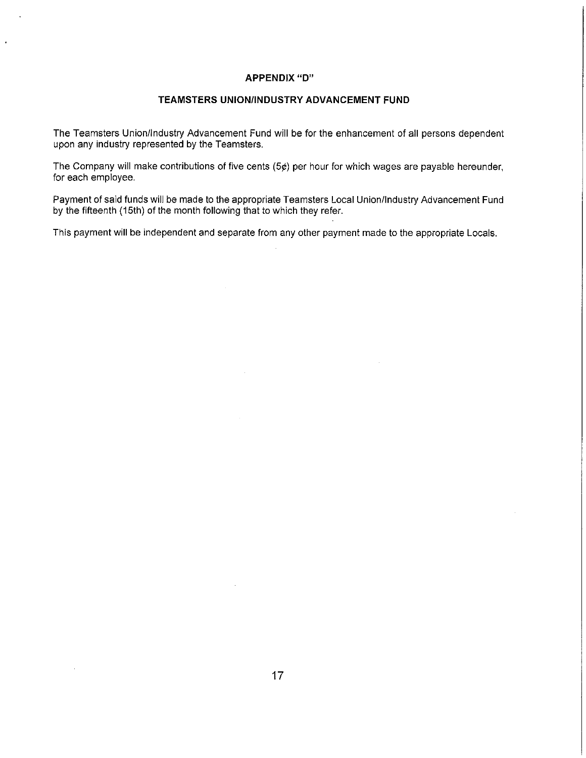#### **APPENDIX "D"**

#### **TEAMSTERS UNION/INDUSTRY ADVANCEMENT FUND**

The Teamsters Union/Industry Advancement Fund will be for the enhancement of all persons dependent upon any industry represented by the Teamsters.

The Company will make contributions of five cents (5¢) per hour for which wages are payable hereunder, for each employee.

Payment of said funds will be made to the appropriate Teamsters Local Union/Industry Advancement Fund by the fifteenth (15th) of the month following that to which they refer.

This payment will be independent and separate from any other payment made to the appropriate Locals.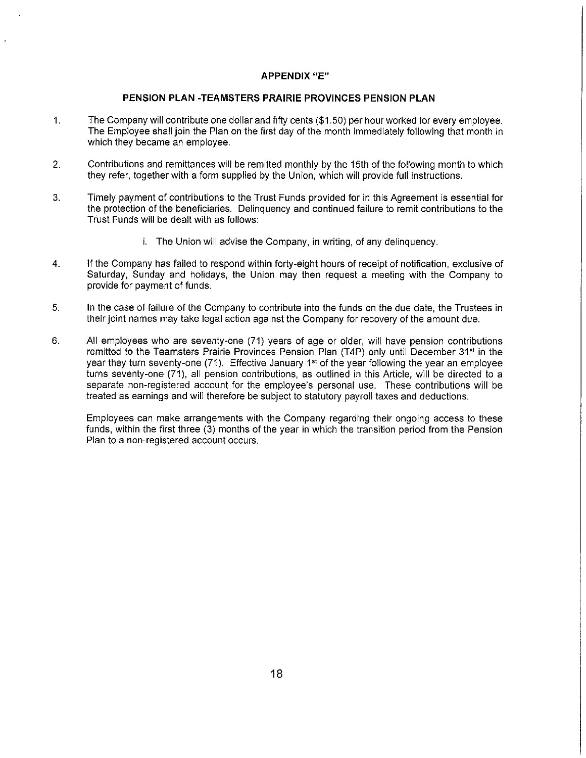#### **APPENDIX "E"**

#### **PENSION PLAN -TEAMSTERS PRAIRIE PROVINCES PENSION PLAN**

- 1. The Company will contribute one dollar and fifty cents (\$1.50) per hour worked for every employee. The Employee shall join the Plan on the first day of the month immediately following that month in which they became an employee.
- 2. Contributions and remittances will be remitted monthly by the 15th of the following month to which they refer, together with a form supplied by the Union, which will provide full instructions.
- 3. Timely payment of contributions to the Trust Funds provided for in this Agreement is essential for the protection of the beneficiaries. Delinquency and continued failure to remit contributions to the Trust Funds will be dealt with as follows:
	- i. The Union will advise the Company, in writing, of any delinquency.
- 4. If the Company has failed to respond within forty-eight hours of receipt of notification, exclusive of Saturday, Sunday and holidays, the Union may then request a meeting with the Company to provide for payment of funds.
- 5. In the case of failure of the Company to contribute into the funds on the due date, the Trustees in their joint names may take legal action against the Company for recovery of the amount due.
- 6. All employees who are seventy-one (71) years of age or older, will have pension contributions remitted to the Teamsters Prairie Provinces Pension Plan (T4P) only until December 31<sup>st</sup> in the year they turn seventy-one  $(71)$ . Effective January 1<sup>st</sup> of the year following the year an employee turns seventy-one (71 ), all pension contributions, as outlined in this Article, will be directed to a separate non-registered account for the employee's personal use. These contributions will be treated as earnings and will therefore be subject to statutory payroll taxes and deductions.

Employees can make arrangements with the Company regarding their ongoing access to these funds, within the first three (3) months of the year in which the transition period from the Pension Plan to a non-registered account occurs.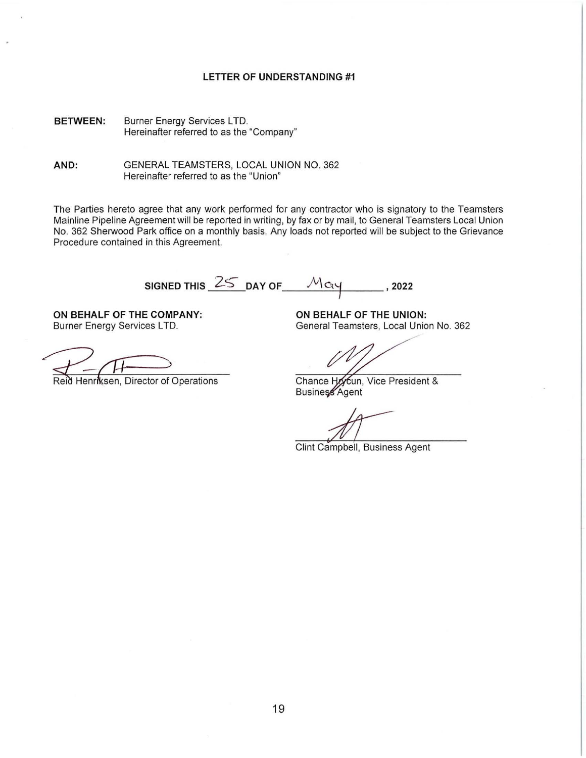#### **LETTER OF UNDERSTANDING #1**

**BETWEEN:**  Burner Energy Services LTD. Hereinafter referred to as the "Company"

**AND:**  GENERAL TEAMSTERS, LOCAL UNION NO. 362 Hereinafter referred to as the "Union"

The Parties hereto agree that any work performed for any contractor who is signatory to the Teamsters Mainline Pipeline Agreement will be reported in writing, by fax or by mail, to General Teamsters Local Union No. 362 Sherwood Park office on a monthly basis. Any loads not reported will be subject to the Grievance Procedure contained in this Agreement.

SIGNED THIS  $\frac{25}{5}$  DAY OF  $\frac{M_{\text{Cy}}}{5}$ , 2022

**ON BEHALF OF THE COMPANY:**  Burner Energy Services LTD.

Reid Henriksen, Director of Operations

**ON BEHALF OF THE UNION:**  General Teamsters, Local Union No. 362

Chance Hoycun, Vice President & Business Agent

Clint Campbell, Business Agent